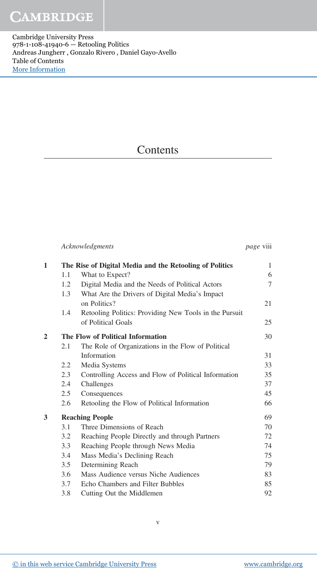Cambridge University Press 978-1-108-41940-6 — Retooling Politics Andreas Jungherr , Gonzalo Rivero , Daniel Gayo-Avello Table of Contents [More Information](www.cambridge.org/9781108419406)

## **Contents**

|                |                        | Acknowledgments                                                | page viii |
|----------------|------------------------|----------------------------------------------------------------|-----------|
| $\mathbf{1}$   |                        | The Rise of Digital Media and the Retooling of Politics        | 1         |
|                | 1.1                    | What to Expect?                                                | 6         |
|                | 1.2                    | Digital Media and the Needs of Political Actors                | 7         |
|                | 1.3                    | What Are the Drivers of Digital Media's Impact<br>on Politics? | 21        |
|                | 1.4                    | Retooling Politics: Providing New Tools in the Pursuit         |           |
|                |                        | of Political Goals                                             | 25        |
| $\overline{2}$ |                        | The Flow of Political Information                              | 30        |
|                | 2.1                    | The Role of Organizations in the Flow of Political             |           |
|                |                        | Information                                                    | 31        |
|                | 2.2                    | Media Systems                                                  | 33        |
|                | 2.3                    | Controlling Access and Flow of Political Information           | 35        |
|                | 2.4                    | Challenges                                                     | 37        |
|                | 2.5                    | Consequences                                                   | 45        |
|                | 2.6                    | Retooling the Flow of Political Information                    | 66        |
| 3              | <b>Reaching People</b> |                                                                |           |
|                | 3.1                    | Three Dimensions of Reach                                      | 70        |
|                | 3.2                    | Reaching People Directly and through Partners                  | 72        |
|                | 3.3                    | Reaching People through News Media                             | 74        |
|                | 3.4                    | Mass Media's Declining Reach                                   | 75        |
|                | $3.5^{\circ}$          | Determining Reach                                              | 79        |
|                | 3.6                    | Mass Audience versus Niche Audiences                           | 83        |
|                | 3.7                    | Echo Chambers and Filter Bubbles                               | 85        |
|                | 3.8                    | Cutting Out the Middlemen                                      | 92        |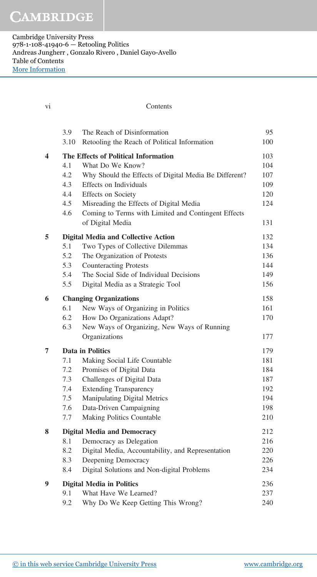| Vİ. |                                               | Contents                                                                                                                                                                                                                                                                                       |                                                      |
|-----|-----------------------------------------------|------------------------------------------------------------------------------------------------------------------------------------------------------------------------------------------------------------------------------------------------------------------------------------------------|------------------------------------------------------|
|     | 3.9<br>3.10                                   | The Reach of Disinformation<br>Retooling the Reach of Political Information                                                                                                                                                                                                                    | 95<br>100                                            |
| 4   | 4.1<br>4.2<br>4.3<br>4.4<br>4.5<br>4.6        | The Effects of Political Information<br>What Do We Know?<br>Why Should the Effects of Digital Media Be Different?<br>Effects on Individuals<br><b>Effects</b> on Society<br>Misreading the Effects of Digital Media<br>Coming to Terms with Limited and Contingent Effects<br>of Digital Media | 103<br>104<br>107<br>109<br>120<br>124<br>131        |
| 5   | 5.1<br>5.2<br>5.3<br>5.4<br>5.5               | <b>Digital Media and Collective Action</b><br>Two Types of Collective Dilemmas<br>The Organization of Protests<br><b>Counteracting Protests</b><br>The Social Side of Individual Decisions<br>Digital Media as a Strategic Tool                                                                | 132<br>134<br>136<br>144<br>149<br>156               |
| 6   | 6.1<br>6.2<br>6.3                             | <b>Changing Organizations</b><br>New Ways of Organizing in Politics<br>How Do Organizations Adapt?<br>New Ways of Organizing, New Ways of Running<br>Organizations                                                                                                                             | 158<br>161<br>170<br>177                             |
| 7   | 7.1<br>7.2<br>7.3<br>7.4<br>7.5<br>7.6<br>7.7 | <b>Data in Politics</b><br>Making Social Life Countable<br>Promises of Digital Data<br>Challenges of Digital Data<br><b>Extending Transparency</b><br>Manipulating Digital Metrics<br>Data-Driven Campaigning<br>Making Politics Countable                                                     | 179<br>181<br>184<br>187<br>192<br>194<br>198<br>210 |
| 8   | 8.1<br>8.2<br>8.3<br>8.4                      | <b>Digital Media and Democracy</b><br>Democracy as Delegation<br>Digital Media, Accountability, and Representation<br>Deepening Democracy<br>Digital Solutions and Non-digital Problems                                                                                                        | 212<br>216<br>220<br>226<br>234                      |
| 9   | 9.1<br>9.2                                    | <b>Digital Media in Politics</b><br>What Have We Learned?<br>Why Do We Keep Getting This Wrong?                                                                                                                                                                                                | 236<br>237<br>240                                    |